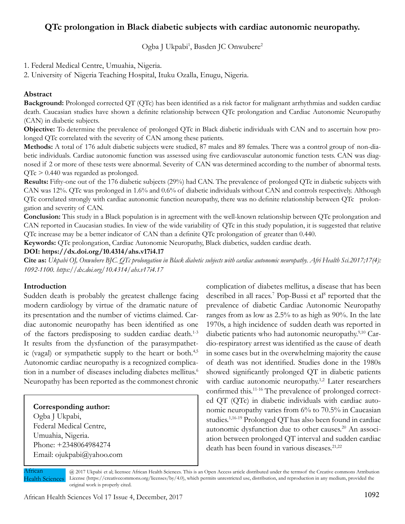# **QTc prolongation in Black diabetic subjects with cardiac autonomic neuropathy.**

Ogba J Ukpabi<sup>1</sup>, Basden JC Onwubere<sup>2</sup>

1. Federal Medical Centre, Umuahia, Nigeria.

2. University of Nigeria Teaching Hospital, Ituku Ozalla, Enugu, Nigeria.

### **Abstract**

**Background:** Prolonged corrected QT (QTc) has been identified as a risk factor for malignant arrhythmias and sudden cardiac death. Caucasian studies have shown a definite relationship between QTc prolongation and Cardiac Autonomic Neuropathy (CAN) in diabetic subjects.

**Objective:** To determine the prevalence of prolonged QTc in Black diabetic individuals with CAN and to ascertain how prolonged QTc correlated with the severity of CAN among these patients.

**Methods:** A total of 176 adult diabetic subjects were studied, 87 males and 89 females. There was a control group of non-diabetic individuals. Cardiac autonomic function was assessed using five cardiovascular autonomic function tests. CAN was diagnosed if 2 or more of these tests were abnormal. Severity of CAN was determined according to the number of abnormal tests. QTc > 0.440 was regarded as prolonged.

**Results:** Fifty-one out of the 176 diabetic subjects (29%) had CAN. The prevalence of prolonged QTc in diabetic subjects with CAN was 12%. QTc was prolonged in 1.6% and 0.6% of diabetic individuals without CAN and controls respectively. Although QTc correlated strongly with cardiac autonomic function neuropathy, there was no definite relationship between QTc prolongation and severity of CAN.

**Conclusion:** This study in a Black population is in agreement with the well-known relationship between QTc prolongation and CAN reported in Caucasian studies. In view of the wide variability of QTc in this study population, it is suggested that relative QTc increase may be a better indicator of CAN than a definite QTc prolongation of greater than 0.440.

**Keywords:** QTc prolongation, Cardiac Autonomic Neuropathy, Black diabetics, sudden cardiac death.

**DOI: https://dx.doi.org/10.4314/ahs.v17i4.17**

**Cite as:** *Ukpabi OJ, Onwubere BJC. QTc prolongation in Black diabetic subjects with cardiac autonomic neuropathy. Afri Health Sci.2017;17(4): 1092-1100. https://dx.doi.org/10.4314/ahs.v17i4.17*

#### **Introduction**

Sudden death is probably the greatest challenge facing modern cardiology by virtue of the dramatic nature of its presentation and the number of victims claimed. Cardiac autonomic neuropathy has been identified as one of the factors predisposing to sudden cardiac death.1-3 It results from the dysfunction of the parasympathetic (vagal) or sympathetic supply to the heart or both.<sup>4,5</sup> Autonomic cardiac neuropathy is a recognized complication in a number of diseases including diabetes mellitus.<sup>6</sup> Neuropathy has been reported as the commonest chronic

#### **Corresponding author:**

Ogba J Ukpabi, Federal Medical Centre, Umuahia, Nigeria. Phone: +2348064984274 Email: ojukpabi@yahoo.com

complication of diabetes mellitus, a disease that has been described in all races.<sup>7</sup> Pop-Bussi et al<sup>8</sup> reported that the prevalence of diabetic Cardiac Autonomic Neuropathy ranges from as low as 2.5% to as high as 90%. In the late 1970s, a high incidence of sudden death was reported in diabetic patients who had autonomic neuropathy.9,10 Cardio-respiratory arrest was identified as the cause of death in some cases but in the overwhelming majority the cause of death was not identified. Studies done in the 1980s showed significantly prolonged QT in diabetic patients with cardiac autonomic neuropathy.<sup>1,2</sup> Later researchers confirmed this.11-16 The prevalence of prolonged corrected QT (QTc) in diabetic individuals with cardiac autonomic neuropathy varies from 6% to 70.5% in Caucasian studies.<sup>1,16-19</sup> Prolonged QT has also been found in cardiac autonomic dysfunction due to other causes.20 An association between prolonged QT interval and sudden cardiac death has been found in various diseases.<sup>21,22</sup>

African Health Sciences

@ 2017 Ukpabi et al; licensee African Health Sciences. This is an Open Access article distributed under the termsof the Creative commons Attribution License (https://creativecommons.org/licenses/by/4.0), which permits unrestricted use, distribution, and reproduction in any medium, provided the original work is properly cited.

African Health Sciences Vol 17 Issue 4, December, 2017 1092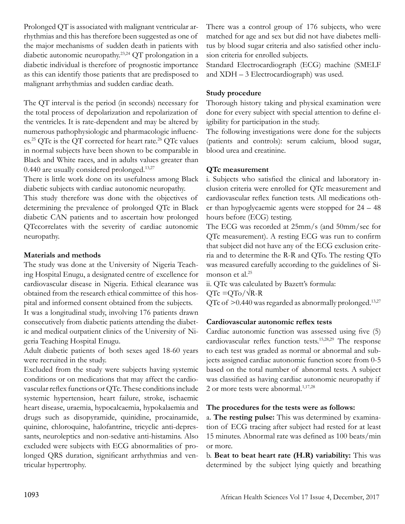Prolonged QT is associated with malignant ventricular arrhythmias and this has therefore been suggested as one of the major mechanisms of sudden death in patients with diabetic autonomic neuropathy.23,24 QT prolongation in a diabetic individual is therefore of prognostic importance as this can identify those patients that are predisposed to malignant arrhythmias and sudden cardiac death.

The QT interval is the period (in seconds) necessary for the total process of depolarization and repolarization of the ventricles. It is rate-dependent and may be altered by numerous pathophysiologic and pharmacologic influences.25 QTc is the QT corrected for heart rate.<sup>26</sup> QTc values in normal subjects have been shown to be comparable in Black and White races, and in adults values greater than  $0.440$  are usually considered prolonged.<sup>13,27</sup>

There is little work done on its usefulness among Black diabetic subjects with cardiac autonomic neuropathy.

This study therefore was done with the objectives of determining the prevalence of prolonged QTc in Black diabetic CAN patients and to ascertain how prolonged QTccorrelates with the severity of cardiac autonomic neuropathy.

## **Materials and methods**

The study was done at the University of Nigeria Teaching Hospital Enugu, a designated centre of excellence for cardiovascular disease in Nigeria. Ethical clearance was obtained from the research ethical committee of this hospital and informed consent obtained from the subjects.

It was a longitudinal study, involving 176 patients drawn consecutively from diabetic patients attending the diabetic and medical outpatient clinics of the University of Nigeria Teaching Hospital Enugu.

Adult diabetic patients of both sexes aged 18-60 years were recruited in the study.

Excluded from the study were subjects having systemic conditions or on medications that may affect the cardiovascular reflex functions or QTc. These conditions include systemic hypertension, heart failure, stroke, ischaemic heart disease, uraemia, hypocalcaemia, hypokalaemia and drugs such as disopyramide, quinidine, procainamide, quinine, chloroquine, halofantrine, tricyclic anti-depressants, neuroleptics and non-sedative anti-histamins. Also excluded were subjects with ECG abnormalities of prolonged QRS duration, significant arrhythmias and ventricular hypertrophy.

There was a control group of 176 subjects, who were matched for age and sex but did not have diabetes mellitus by blood sugar criteria and also satisfied other inclusion criteria for enrolled subjects.

Standard Electrocardiograph (ECG) machine (SMELF and XDH – 3 Electrocardiograph) was used.

### **Study procedure**

Thorough history taking and physical examination were done for every subject with special attention to define eligibility for participation in the study.

The following investigations were done for the subjects (patients and controls): serum calcium, blood sugar, blood urea and creatinine.

## **QTc measurement**

i. Subjects who satisfied the clinical and laboratory inclusion criteria were enrolled for QTc measurement and cardiovascular reflex function tests. All medications other than hypoglycaemic agents were stopped for 24 – 48 hours before (ECG) testing.

The ECG was recorded at 25mm/s (and 50mm/sec for QTc measurement). A resting ECG was run to confirm that subject did not have any of the ECG exclusion criteria and to determine the R-R and QTo. The resting QTo was measured carefully according to the guidelines of Simonson et al.<sup>25</sup>

ii. QTc was calculated by Bazett's formula:

 $QTe = QTo / \sqrt{R-R}$ 

QTc of  $>0.440$  was regarded as abnormally prolonged.<sup>13,27</sup>

#### **Cardiovascular autonomic reflex tests**

Cardiac autonomic function was assessed using five (5) cardiovascular reflex function tests.15,28,29 The response to each test was graded as normal or abnormal and subjects assigned cardiac autonomic function score from 0-5 based on the total number of abnormal tests. A subject was classified as having cardiac autonomic neuropathy if 2 or more tests were abnormal. $1,17,28$ 

## **The procedures for the tests were as follows:**

a. **The resting pulse:** This was determined by examination of ECG tracing after subject had rested for at least 15 minutes. Abnormal rate was defined as 100 beats/min or more.

b. **Beat to beat heart rate (H.R) variability:** This was determined by the subject lying quietly and breathing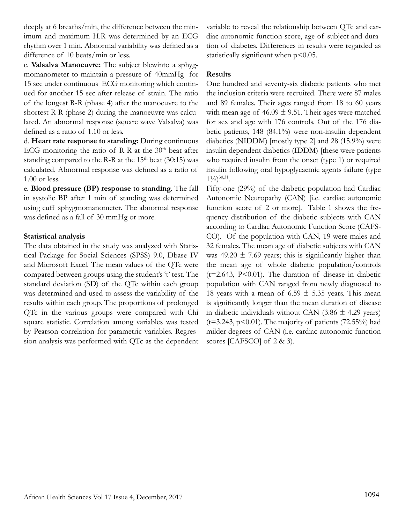deeply at 6 breaths/min, the difference between the minimum and maximum H.R was determined by an ECG rhythm over 1 min. Abnormal variability was defined as a difference of 10 beats/min or less.

c. **Valsalva Manoeuvre:** The subject blewinto a sphygmomanometer to maintain a pressure of 40mmHg for 15 sec under continuous ECG monitoring which continued for another 15 sec after release of strain. The ratio of the longest R-R (phase 4) after the manoeuvre to the shortest R-R (phase 2) during the manoeuvre was calculated. An abnormal response (square wave Valsalva) was defined as a ratio of 1.10 or less.

d. **Heart rate response to standing:** During continuous ECG monitoring the ratio of R-R at the  $30<sup>th</sup>$  beat after standing compared to the R-R at the  $15<sup>th</sup>$  beat (30:15) was calculated. Abnormal response was defined as a ratio of 1.00 or less.

e. **Blood pressure (BP) response to standing.** The fall in systolic BP after 1 min of standing was determined using cuff sphygmomanometer. The abnormal response was defined as a fall of 30 mmHg or more.

#### **Statistical analysis**

The data obtained in the study was analyzed with Statistical Package for Social Sciences (SPSS) 9.0, Dbase IV and Microsoft Excel. The mean values of the QTc were compared between groups using the student's 't' test. The standard deviation (SD) of the QTc within each group was determined and used to assess the variability of the results within each group. The proportions of prolonged QTc in the various groups were compared with Chi square statistic. Correlation among variables was tested by Pearson correlation for parametric variables. Regression analysis was performed with QTc as the dependent variable to reveal the relationship between QTc and cardiac autonomic function score, age of subject and duration of diabetes. Differences in results were regarded as statistically significant when  $p<0.05$ .

#### **Results**

One hundred and seventy-six diabetic patients who met the inclusion criteria were recruited. There were 87 males and 89 females. Their ages ranged from 18 to 60 years with mean age of  $46.09 \pm 9.51$ . Their ages were matched for sex and age with 176 controls. Out of the 176 diabetic patients, 148 (84.1%) were non-insulin dependent diabetics (NIDDM) [mostly type 2] and 28 (15.9%) were insulin dependent diabetics (IDDM) [these were patients who required insulin from the onset (type 1) or required insulin following oral hypoglycaemic agents failure (type  $1\frac{1}{2}$ <sup>30,31</sup>.

Fifty-one (29%) of the diabetic population had Cardiac Autonomic Neuropathy (CAN) [i.e. cardiac autonomic function score of 2 or more]. Table 1 shows the frequency distribution of the diabetic subjects with CAN according to Cardiac Autonomic Function Score (CAFS-CO). Of the population with CAN, 19 were males and 32 females. The mean age of diabetic subjects with CAN was 49.20  $\pm$  7.69 years; this is significantly higher than the mean age of whole diabetic population/controls  $(t=2.643, P<0.01)$ . The duration of disease in diabetic population with CAN ranged from newly diagnosed to 18 years with a mean of 6.59  $\pm$  5.35 years. This mean is significantly longer than the mean duration of disease in diabetic individuals without CAN (3.86  $\pm$  4.29 years) ( $t=3.243$ ,  $p<0.01$ ). The majority of patients (72.55%) had milder degrees of CAN (i.e. cardiac autonomic function scores [CAFSCO] of 2 & 3).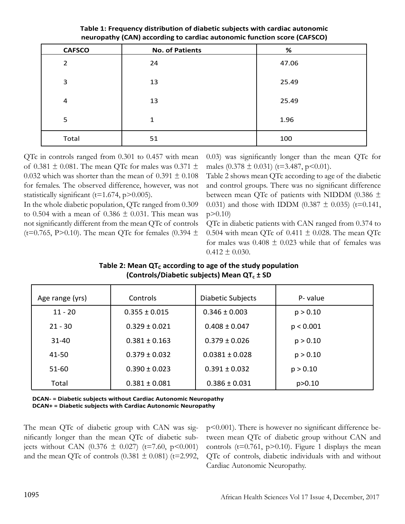| <b>CAFSCO</b> | <b>No. of Patients</b> | %     |
|---------------|------------------------|-------|
| 2             | 24                     | 47.06 |
| 3             | 13                     | 25.49 |
| 4             | 13                     | 25.49 |
| 5             | 1                      | 1.96  |
| Total         | 51                     | 100   |

**Table 1: Frequency distribution of diabetic subjects with cardiac autonomic neuropathy (CAN) according to cardiac autonomic function score (CAFSCO)**

QTc in controls ranged from 0.301 to 0.457 with mean of 0.381  $\pm$  0.081. The mean QTc for males was 0.371  $\pm$ 0.032 which was shorter than the mean of  $0.391 \pm 0.108$ for females. The observed difference, however, was not statistically significant ( $t=1.674$ ,  $p>0.005$ ).

In the whole diabetic population, QTc ranged from 0.309 to 0.504 with a mean of 0.386  $\pm$  0.031. This mean was not significantly different from the mean QTc of controls (t=0.765, P>0.10). The mean QTc for females (0.394  $\pm$  0.03) was significantly longer than the mean QTc for males  $(0.378 \pm 0.031)$  (t=3.487, p<0.01).

Table 2 shows mean QTc according to age of the diabetic and control groups. There was no significant difference between mean QTc of patients with NIDDM (0.386  $\pm$ 0.031) and those with IDDM (0.387  $\pm$  0.035) (t=0.141,  $p > 0.10$ 

QTc in diabetic patients with CAN ranged from 0.374 to 0.504 with mean QTc of 0.411  $\pm$  0.028. The mean QTc for males was  $0.408 \pm 0.023$  while that of females was  $0.412 \pm 0.030$ .

| (Controls/Diabetic subjects) Mean QT <sub>c</sub> ± SD |                   |                          |           |  |  |  |
|--------------------------------------------------------|-------------------|--------------------------|-----------|--|--|--|
| Age range (yrs)                                        | Controls          | <b>Diabetic Subjects</b> | P-value   |  |  |  |
| $11 - 20$                                              | $0.355 \pm 0.015$ | $0.346 \pm 0.003$        | p > 0.10  |  |  |  |
| $21 - 30$                                              | $0.329 \pm 0.021$ | $0.408 \pm 0.047$        | p < 0.001 |  |  |  |
| $31 - 40$                                              | $0.381 \pm 0.163$ | $0.379 \pm 0.026$        | p > 0.10  |  |  |  |
| 41-50                                                  | $0.379 \pm 0.032$ | $0.0381 \pm 0.028$       | p > 0.10  |  |  |  |
| 51-60                                                  | $0.390 \pm 0.023$ | $0.391 \pm 0.032$        | p > 0.10  |  |  |  |
|                                                        |                   |                          |           |  |  |  |

Total 0.381 ± 0.081 0.386 ± 0.031 p>0.10

Table 2: Mean QT<sub>c</sub> according to age of the study population

**DCAN- = Diabetic subjects without Cardiac Autonomic Neuropathy DCAN+ = Diabetic subjects with Cardiac Autonomic Neuropathy**

The mean QTc of diabetic group with CAN was significantly longer than the mean QTc of diabetic subjects without CAN  $(0.376 \pm 0.027)$  (t=7.60, p<0.001) and the mean QTc of controls  $(0.381 \pm 0.081)$  (t=2.992, p<0.001). There is however no significant difference between mean QTc of diabetic group without CAN and controls ( $t=0.761$ ,  $p>0.10$ ). Figure 1 displays the mean QTc of controls, diabetic individuals with and without Cardiac Autonomic Neuropathy.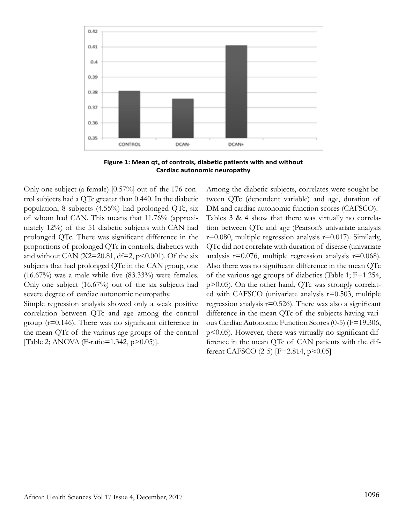

**Figure 1: Mean qt<sub>c</sub> of controls, diabetic patients with and without Cardiac autonomic neuropathy**

Only one subject (a female) [0.57%] out of the 176 control subjects had a QTc greater than 0.440. In the diabetic population, 8 subjects (4.55%) had prolonged QTc, six of whom had CAN. This means that 11.76% (approximately 12%) of the 51 diabetic subjects with CAN had prolonged QTc. There was significant difference in the proportions of prolonged QTc in controls, diabetics with and without CAN (X2=20.81, df=2, p<0.001). Of the six subjects that had prolonged QTc in the CAN group, one  $(16.67%)$  was a male while five  $(83.33%)$  were females. Only one subject (16.67%) out of the six subjects had severe degree of cardiac autonomic neuropathy.

Simple regression analysis showed only a weak positive correlation between QTc and age among the control group (r=0.146). There was no significant difference in the mean QTc of the various age groups of the control [Table 2; ANOVA (F-ratio=1.342, p>0.05)].

Among the diabetic subjects, correlates were sought between QTc (dependent variable) and age, duration of DM and cardiac autonomic function scores (CAFSCO). Tables 3 & 4 show that there was virtually no correlation between QTc and age (Pearson's univariate analysis  $r=0.080$ , multiple regression analysis  $r=0.017$ ). Similarly, QTc did not correlate with duration of disease (univariate analysis  $r=0.076$ , multiple regression analysis  $r=0.068$ ). Also there was no significant difference in the mean QTc of the various age groups of diabetics (Table 1; F=1.254, p>0.05). On the other hand, QTc was strongly correlated with CAFSCO (univariate analysis r=0.503, multiple regression analysis  $r=0.526$ ). There was also a significant difference in the mean QTc of the subjects having various Cardiac Autonomic Function Scores (0-5) (F=19.306, p<0.05). However, there was virtually no significant difference in the mean QTc of CAN patients with the different CAFSCO (2-5) [F=2.814,  $p \approx 0.05$ ]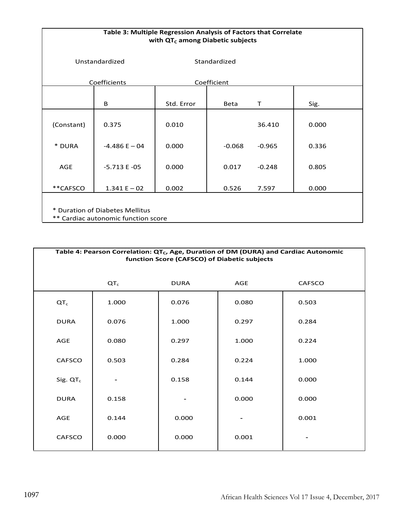| Table 3: Multiple Regression Analysis of Factors that Correlate<br>with QT <sub>c</sub> among Diabetic subjects |                 |              |          |              |       |  |
|-----------------------------------------------------------------------------------------------------------------|-----------------|--------------|----------|--------------|-------|--|
| Unstandardized                                                                                                  |                 | Standardized |          |              |       |  |
| <b>Coefficients</b>                                                                                             |                 | Coefficient  |          |              |       |  |
|                                                                                                                 | B               | Std. Error   | Beta     | $\mathsf{T}$ | Sig.  |  |
| (Constant)                                                                                                      | 0.375           | 0.010        |          | 36.410       | 0.000 |  |
| * DURA                                                                                                          | $-4.486 E - 04$ | 0.000        | $-0.068$ | $-0.965$     | 0.336 |  |
| AGE                                                                                                             | $-5.713E -05$   | 0.000        | 0.017    | $-0.248$     | 0.805 |  |
| **CAFSCO                                                                                                        | $1.341 E - 02$  | 0.002        | 0.526    | 7.597        | 0.000 |  |
| * Duration of Diabetes Mellitus<br>** Cardiac autonomic function score                                          |                 |              |          |              |       |  |

| Table 4: Pearson Correlation: QT <sub>c</sub> , Age, Duration of DM (DURA) and Cardiac Autonomic<br>function Score (CAFSCO) of Diabetic subjects |                 |             |            |               |  |  |
|--------------------------------------------------------------------------------------------------------------------------------------------------|-----------------|-------------|------------|---------------|--|--|
|                                                                                                                                                  | QT <sub>c</sub> | <b>DURA</b> | <b>AGE</b> | <b>CAFSCO</b> |  |  |
| $QT_c$                                                                                                                                           | 1.000           | 0.076       | 0.080      | 0.503         |  |  |
| <b>DURA</b>                                                                                                                                      | 0.076           | 1.000       | 0.297      | 0.284         |  |  |
| AGE                                                                                                                                              | 0.080           | 0.297       | 1.000      | 0.224         |  |  |
| <b>CAFSCO</b>                                                                                                                                    | 0.503           | 0.284       | 0.224      | 1.000         |  |  |
| Sig. $QTc$                                                                                                                                       |                 | 0.158       | 0.144      | 0.000         |  |  |
| <b>DURA</b>                                                                                                                                      | 0.158           |             | 0.000      | 0.000         |  |  |
| AGE                                                                                                                                              | 0.144           | 0.000       |            | 0.001         |  |  |
| <b>CAFSCO</b>                                                                                                                                    | 0.000           | 0.000       | 0.001      |               |  |  |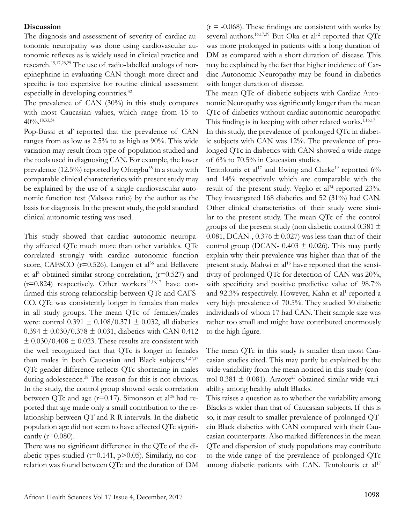#### **Discussion**

The diagnosis and assessment of severity of cardiac autonomic neuropathy was done using cardiovascular autonomic reflexes as is widely used in clinical practice and research.15,17,28,29 The use of radio-labelled analogs of norepinephrine in evaluating CAN though more direct and specific is too expensive for routine clinical assessment especially in developing countries.<sup>32</sup>

The prevalence of CAN (30%) in this study compares with most Caucasian values, which range from 15 to  $40\frac{6}{18,33,34}$ 

Pop-Bussi et al<sup>8</sup> reported that the prevalence of CAN ranges from as low as 2.5% to as high as 90%. This wide variation may result from type of population studied and the tools used in diagnosing CAN. For example, the lower prevalence  $(12.5\%)$  reported by Ofoegbu<sup>35</sup> in a study with comparable clinical characteristics with present study may be explained by the use of a single cardiovascular autonomic function test (Valsava ratio) by the author as the basis for diagnosis. In the present study, the gold standard clinical autonomic testing was used.

This study showed that cardiac autonomic neuropathy affected QTc much more than other variables. QTc correlated strongly with cardiac autonomic function score, CAFSCO ( $r=0.526$ ). Langen et al<sup>36</sup> and Bellavere et al<sup>2</sup> obtained similar strong correlation,  $(r=0.527)$  and  $(r=0.824)$  respectively. Other workers<sup>12,16,17</sup> have confirmed this strong relationship between QTc and CAFS-CO. QTc was consistently longer in females than males in all study groups. The mean QTc of females/males were: control  $0.391 \pm 0.108/0.371 \pm 0.032$ , all diabetics  $0.394 \pm 0.030/0.378 \pm 0.031$ , diabetics with CAN 0.412  $\pm$  0.030/0.408  $\pm$  0.023. These results are consistent with the well recognized fact that QTc is longer in females than males in both Caucasian and Black subjects.<sup>1,27,37</sup> QTc gender difference reflects QTc shortening in males during adolescence.<sup>38</sup> The reason for this is not obvious. In the study, the control group showed weak correlation between QTc and age ( $r=0.17$ ). Simonson et al<sup>25</sup> had reported that age made only a small contribution to the relationship between QT and R-R intervals. In the diabetic population age did not seem to have affected QTc significantly  $(r=0.080)$ .

There was no significant difference in the QTc of the diabetic types studied ( $t=0.141$ ,  $p>0.05$ ). Similarly, no correlation was found between QTc and the duration of DM

 $(r = -0.068)$ . These findings are consistent with works by several authors.<sup>16,17,39</sup> But Oka et al<sup>12</sup> reported that QTc was more prolonged in patients with a long duration of DM as compared with a short duration of disease. This may be explained by the fact that higher incidence of Cardiac Autonomic Neuropathy may be found in diabetics with longer duration of disease.

The mean QTc of diabetic subjects with Cardiac Autonomic Neuropathy was significantly longer than the mean QTc of diabetics without cardiac autonomic neuropathy. This finding is in keeping with other related works.<sup>1,16,17</sup>

In this study, the prevalence of prolonged QTc in diabetic subjects with CAN was 12%. The prevalence of prolonged QTc in diabetics with CAN showed a wide range of 6% to 70.5% in Caucasian studies.

Tentolouris et al<sup>17</sup> and Ewing and Clarke<sup>19</sup> reported  $6\%$ and 14% respectively which are comparable with the result of the present study. Veglio et  $al^{34}$  reported 23%. They investigated 168 diabetics and 52 (31%) had CAN. Other clinical characteristics of their study were similar to the present study. The mean QTc of the control groups of the present study (non diabetic control 0.381  $\pm$ 0.081, DCAN-, 0.376  $\pm$  0.027) was less than that of their control group (DCAN- 0.403  $\pm$  0.026). This may partly explain why their prevalence was higher than that of the present study. Mahwi et al<sup>16</sup> have reported that the sensitivity of prolonged QTc for detection of CAN was 20%, with specificity and positive predictive value of 98.7% and 92.3% respectively. However, Kahn et al<sup>1</sup> reported a very high prevalence of 70.5%. They studied 30 diabetic individuals of whom 17 had CAN. Their sample size was rather too small and might have contributed enormously to the high figure.

The mean QTc in this study is smaller than most Caucasian studies cited. This may partly be explained by the wide variability from the mean noticed in this study (control 0.381  $\pm$  0.081). Araoye<sup>27</sup> obtained similar wide variability among healthy adult Blacks.

This raises a question as to whether the variability among Blacks is wider than that of Caucasian subjects. If this is so, it may result to smaller prevalence of prolonged QTcin Black diabetics with CAN compared with their Caucasian counterparts. Also marked differences in the mean QTc and dispersion of study populations may contribute to the wide range of the prevalence of prolonged QTc among diabetic patients with CAN. Tentolouris et al<sup>17</sup>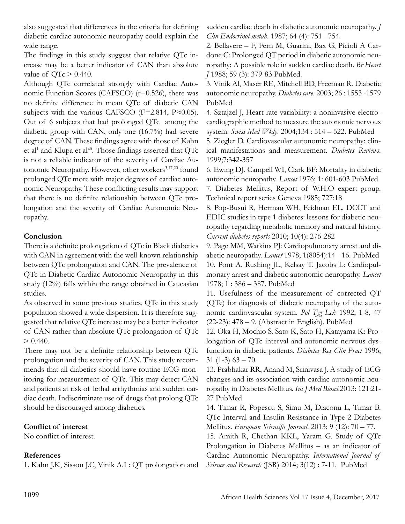also suggested that differences in the criteria for defining diabetic cardiac autonomic neuropathy could explain the wide range.

The findings in this study suggest that relative QTc increase may be a better indicator of CAN than absolute value of  $QT_c > 0.440$ .

Although QTc correlated strongly with Cardiac Autonomic Function Scores (CAFSCO)  $(r=0.526)$ , there was no definite difference in mean QTc of diabetic CAN subjects with the various CAFSCO (F=2.814, P $\approx$ 0.05). Out of 6 subjects that had prolonged QTc among the diabetic group with CAN, only one (16.7%) had severe degree of CAN. These findings agree with those of Kahn et al<sup>1</sup> and Klupa et al<sup>40</sup>. Those findings asserted that  $QTe$ is not a reliable indicator of the severity of Cardiac Autonomic Neuropathy. However, other workers<sup>3,17,20</sup> found prolonged QTc more with major degrees of cardiac autonomic Neuropathy. These conflicting results may support that there is no definite relationship between QTc prolongation and the severity of Cardiac Autonomic Neuropathy.

### **Conclusion**

There is a definite prolongation of QTc in Black diabetics with CAN in agreement with the well-known relationship between QTc prolongation and CAN. The prevalence of QTc in Diabetic Cardiac Autonomic Neuropathy in this study (12%) falls within the range obtained in Caucasian studies.

As observed in some previous studies, QTc in this study population showed a wide dispersion. It is therefore suggested that relative QTc increase may be a better indicator of CAN rather than absolute QTc prolongation of QTc  $> 0.440$ .

There may not be a definite relationship between QTc prolongation and the severity of CAN. This study recommends that all diabetics should have routine ECG monitoring for measurement of QTc. This may detect CAN and patients at risk of lethal arrhythmias and sudden cardiac death. Indiscriminate use of drugs that prolong QTc should be discouraged among diabetics.

#### **Conflict of interest**

No conflict of interest.

## **References**

1. Kahn J.K, Sisson J.C, Vinik A.I : QT prolongation and

sudden cardiac death in diabetic autonomic neuropathy. *J Clin Endocrinol metab*. 1987; 64 (4): 751 –754.

2. Bellavere – F, Fern M, Guarini, Bax G, Picioli A Cardone C: Prolonged QT period in diabetic autonomic neuropathy: A possible role in sudden cardiac death. *Br Heart J* 1988; 59 (3): 379-83 PubMed.

3. Vinik Al, Maser RE, Mitchell BD, Freeman R. Diabetic autonomic neuropathy. *Diabetes care*. 2003; 26 : 1553 -1579 PubMed

4. Sztajzel J, Heart rate variability: a noninvasive electrocardiographic method to measure the autonomic nervous system. *Swiss Med Wkly*. 2004;134 : 514 – 522. PubMed

5. Ziegler D. Cardiovascular autonomic neuropathy: clinical manifestations and measurement. *Diabetes Reviews*. 1999;7:342-357

6. Ewing DJ, Campell WI, Clark BF: Mortality in diabetic autonomic neuropathy. *Lancet* 1976; 1: 601-603 PubMed 7. Diabetes Mellitus, Report of W.H.O expert group. Technical report series Geneva 1985; 727:18

8. Pop-Busui R, Herman WH, Feidman EL. DCCT and EDIC studies in type 1 diabetes: lessons for diabetic neuropathy regarding metabolic memory and natural history. *Current diabetes reports* 2010; 10(4): 276-282

9. Page MM, Watkins PJ: Cardiopulmonary arrest and diabetic neuropathy. *Lancet* 1978; 1(8054):14 -16. PubMed 10. Pont A, Rushing JL, Kelsay T, Jacobs L: Cardiopulmonary arrest and diabetic autonomic neuropathy. *Lancet* 1978; 1 : 386 – 387. PubMed

11. Usefulness of the measurement of corrected QT (QTc) for diagnosis of diabetic neuropathy of the autonomic cardiovascular system. *Pol Tyg Lek* 1992; 1-8, 47 (22-23): 478 – 9. (Abstract in English). PubMed

12. Oka H, Mochio S. Sato K, Sato H, Katayama K: Prolongation of QTc interval and autonomic nervous dysfunction in diabetic patients. *Diabetes Res Clin Pract* 1996; 31  $(1-3)$  63 – 70.

13. Prabhakar RR, Anand M, Srinivasa J. A study of ECG changes and its association with cardiac autonomic neuropathy in Diabetes Mellitus. *Int J Med Biosci*.2013: 121:21- 27 PubMed

14. Timar R, Popescu S, Simu M, Diaconu L, Timar B. QTc Interval and Insulin Resistance in Type 2 Diabetes Mellitus. *European Scientific Journal*. 2013; 9 (12): 70 – 77. 15. Amith R, Chethan KKL, Yaram G. Study of QTc Prolongation in Diabetes Mellitus – as an indicator of

Cardiac Autonomic Neuropathy. *International Journal of Science and Research* (JSR) 2014; 3(12) : 7-11. PubMed